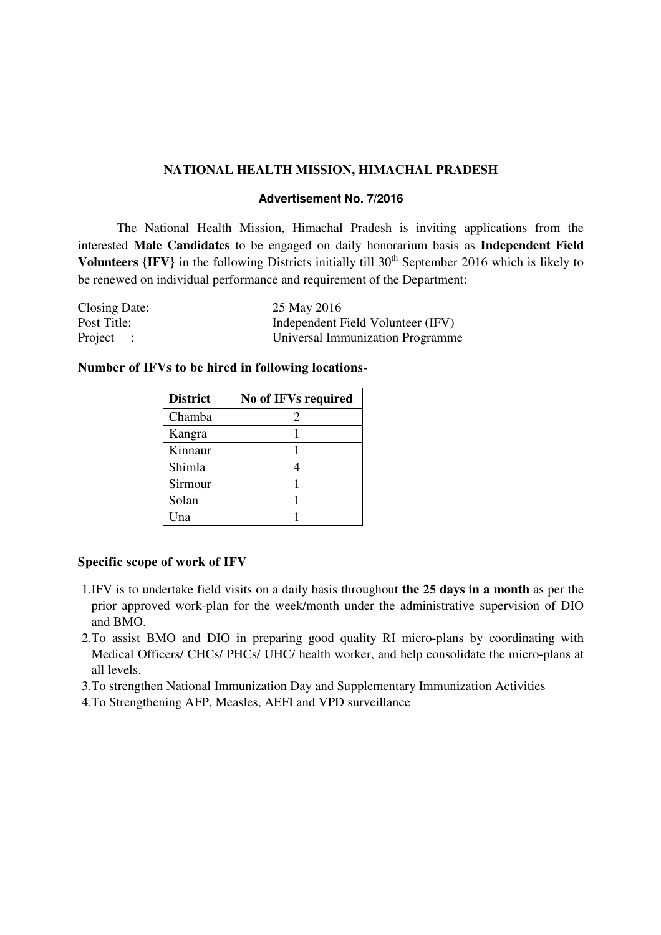### **NATIONAL HEALTH MISSION, HIMACHAL PRADESH**

### **Advertisement No. 7/2016**

The National Health Mission, Himachal Pradesh is inviting applications from the interested **Male Candidates** to be engaged on daily honorarium basis as **Independent Field Volunteers**  $\{IFV\}$  in the following Districts initially till  $30<sup>th</sup>$  September 2016 which is likely to be renewed on individual performance and requirement of the Department:

| Closing Date: | 25 May 2016                       |
|---------------|-----------------------------------|
| Post Title:   | Independent Field Volunteer (IFV) |
| Project :     | Universal Immunization Programme  |

### **Number of IFVs to be hired in following locations-**

| <b>District</b> | No of IFVs required         |
|-----------------|-----------------------------|
| Chamba          | $\mathcal{D}_{\mathcal{A}}$ |
| Kangra          |                             |
| Kinnaur         |                             |
| Shimla          |                             |
| Sirmour         |                             |
| Solan           |                             |
| Una             |                             |

### **Specific scope of work of IFV**

- 1.IFV is to undertake field visits on a daily basis throughout **the 25 days in a month** as per the prior approved work-plan for the week/month under the administrative supervision of DIO and BMO.
- 2.To assist BMO and DIO in preparing good quality RI micro-plans by coordinating with Medical Officers/ CHCs/ PHCs/ UHC/ health worker, and help consolidate the micro-plans at all levels.

3.To strengthen National Immunization Day and Supplementary Immunization Activities

4.To Strengthening AFP, Measles, AEFI and VPD surveillance